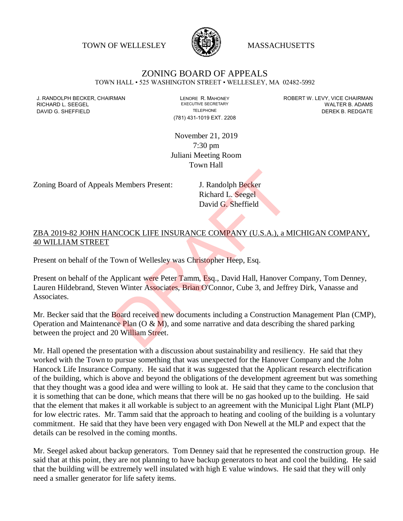TOWN OF WELLESLEY **WELLESLEY** MASSACHUSETTS



## ZONING BOARD OF APPEALS TOWN HALL • 525 WASHINGTON STREET • WELLESLEY, MA 02482-5992

RICHARD L. SEEGEL

(781) 431-1019 EXT. 2208

J. RANDOLPH BECKER, CHAIRMAN LENORE R. MAHONEY LENORE R. MAHONEY ROBERT W. LEVY, VICE CHAIRMAN LEVY, ONE CHAIRMAN LEVY, ONE CHAIRMAN LEVY, ONE CHAIRMAN LEVY, ONE CHAIRMAN LEVE AND LESS ECRETARY DAVID G. SHEFFIELD **TELEPHONE** TELEPHONE TELEPHONE **TELEPHONE DEREK B. REDGATE** 

> November 21, 2019 7:30 pm Juliani Meeting Room Town Hall

Zoning Board of Appeals Members Present: J. Randolph Becker

Richard L. Seegel David G. Sheffield

## ZBA 2019-82 JOHN HANCOCK LIFE INSURANCE COMPANY (U.S.A.), a MICHIGAN COMPANY, 40 WILLIAM STREET

Present on behalf of the Town of Wellesley was Christopher Heep, Esq.

Present on behalf of the Applicant were Peter Tamm, Esq., David Hall, Hanover Company, Tom Denney, Lauren Hildebrand, Steven Winter Associates, Brian O'Connor, Cube 3, and Jeffrey Dirk, Vanasse and Associates.

Mr. Becker said that the Board received new documents including a Construction Management Plan (CMP), Operation and Maintenance Plan (O &  $\dot{M}$ ), and some narrative and data describing the shared parking between the project and 20 William Street. S. Members Present:<br>
J. Randolph Becker<br>
Richard L. Seegel<br>
David G. Sheffield<br>
NCOCK LIFE INSURANCE COMPANY (U.S.A.), a M<br>
NOWN of Wellesley was Christopher Heep, Esq.<br>
Applicant were Peter Tamm, Esq., David Hall, Hanover

Mr. Hall opened the presentation with a discussion about sustainability and resiliency. He said that they worked with the Town to pursue something that was unexpected for the Hanover Company and the John Hancock Life Insurance Company. He said that it was suggested that the Applicant research electrification of the building, which is above and beyond the obligations of the development agreement but was something that they thought was a good idea and were willing to look at. He said that they came to the conclusion that it is something that can be done, which means that there will be no gas hooked up to the building. He said that the element that makes it all workable is subject to an agreement with the Municipal Light Plant (MLP) for low electric rates. Mr. Tamm said that the approach to heating and cooling of the building is a voluntary commitment. He said that they have been very engaged with Don Newell at the MLP and expect that the details can be resolved in the coming months.

Mr. Seegel asked about backup generators. Tom Denney said that he represented the construction group. He said that at this point, they are not planning to have backup generators to heat and cool the building. He said that the building will be extremely well insulated with high E value windows. He said that they will only need a smaller generator for life safety items.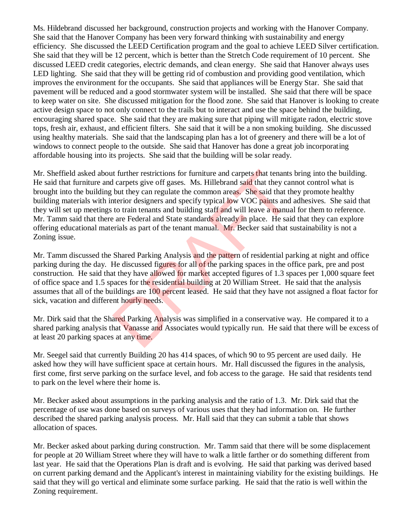Ms. Hildebrand discussed her background, construction projects and working with the Hanover Company. She said that the Hanover Company has been very forward thinking with sustainability and energy efficiency. She discussed the LEED Certification program and the goal to achieve LEED Silver certification. She said that they will be 12 percent, which is better than the Stretch Code requirement of 10 percent. She discussed LEED credit categories, electric demands, and clean energy. She said that Hanover always uses LED lighting. She said that they will be getting rid of combustion and providing good ventilation, which improves the environment for the occupants. She said that appliances will be Energy Star. She said that pavement will be reduced and a good stormwater system will be installed. She said that there will be space to keep water on site. She discussed mitigation for the flood zone. She said that Hanover is looking to create active design space to not only connect to the trails but to interact and use the space behind the building, encouraging shared space. She said that they are making sure that piping will mitigate radon, electric stove tops, fresh air, exhaust, and efficient filters. She said that it will be a non smoking building. She discussed using healthy materials. She said that the landscaping plan has a lot of greenery and there will be a lot of windows to connect people to the outside. She said that Hanover has done a great job incorporating affordable housing into its projects. She said that the building will be solar ready.

Mr. Sheffield asked about further restrictions for furniture and carpets that tenants bring into the building. He said that furniture and carpets give off gases. Ms. Hillebrand said that they cannot control what is brought into the building but they can regulate the common areas. She said that they promote healthy building materials with interior designers and specify typical low VOC paints and adhesives. She said that they will set up meetings to train tenants and building staff and will leave a manual for them to reference. Mr. Tamm said that there are Federal and State standards already in place. He said that they can explore offering educational materials as part of the tenant manual. Mr. Becker said that sustainability is not a Zoning issue. It further restrictions for furniture and carpets that tenants<br>I carpets give off gases. Ms. Hillebrand said that they ca<br>but they can regulate the common areas. She said that the<br>treiro designers and specify typical low V

Mr. Tamm discussed the Shared Parking Analysis and the pattern of residential parking at night and office parking during the day. He discussed figures for all of the parking spaces in the office park, pre and post construction. He said that they have allowed for market accepted figures of 1.3 spaces per 1,000 square feet of office space and 1.5 spaces for the residential building at 20 William Street. He said that the analysis assumes that all of the buildings are 100 percent leased. He said that they have not assigned a float factor for sick, vacation and different hourly needs.

Mr. Dirk said that the Shared Parking Analysis was simplified in a conservative way. He compared it to a shared parking analysis that Vanasse and Associates would typically run. He said that there will be excess of at least 20 parking spaces at any time.

Mr. Seegel said that currently Building 20 has 414 spaces, of which 90 to 95 percent are used daily. He asked how they will have sufficient space at certain hours. Mr. Hall discussed the figures in the analysis, first come, first serve parking on the surface level, and fob access to the garage. He said that residents tend to park on the level where their home is.

Mr. Becker asked about assumptions in the parking analysis and the ratio of 1.3. Mr. Dirk said that the percentage of use was done based on surveys of various uses that they had information on. He further described the shared parking analysis process. Mr. Hall said that they can submit a table that shows allocation of spaces.

Mr. Becker asked about parking during construction. Mr. Tamm said that there will be some displacement for people at 20 William Street where they will have to walk a little farther or do something different from last year. He said that the Operations Plan is draft and is evolving. He said that parking was derived based on current parking demand and the Applicant's interest in maintaining viability for the existing buildings. He said that they will go vertical and eliminate some surface parking. He said that the ratio is well within the Zoning requirement.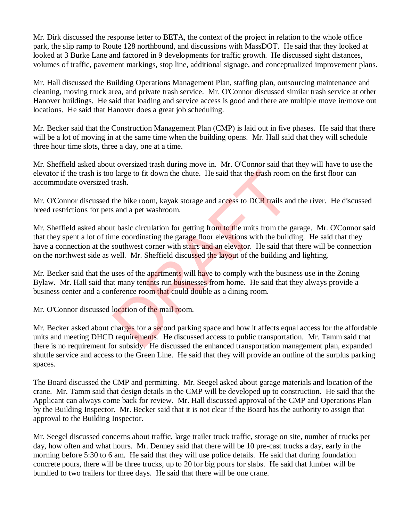Mr. Dirk discussed the response letter to BETA, the context of the project in relation to the whole office park, the slip ramp to Route 128 northbound, and discussions with MassDOT. He said that they looked at looked at 3 Burke Lane and factored in 9 developments for traffic growth. He discussed sight distances, volumes of traffic, pavement markings, stop line, additional signage, and conceptualized improvement plans.

Mr. Hall discussed the Building Operations Management Plan, staffing plan, outsourcing maintenance and cleaning, moving truck area, and private trash service. Mr. O'Connor discussed similar trash service at other Hanover buildings. He said that loading and service access is good and there are multiple move in/move out locations. He said that Hanover does a great job scheduling.

Mr. Becker said that the Construction Management Plan (CMP) is laid out in five phases. He said that there will be a lot of moving in at the same time when the building opens. Mr. Hall said that they will schedule three hour time slots, three a day, one at a time.

Mr. Sheffield asked about oversized trash during move in. Mr. O'Connor said that they will have to use the elevator if the trash is too large to fit down the chute. He said that the trash room on the first floor can accommodate oversized trash.

Mr. O'Connor discussed the bike room, kayak storage and access to DCR trails and the river. He discussed breed restrictions for pets and a pet washroom.

Mr. Sheffield asked about basic circulation for getting from to the units from the garage. Mr. O'Connor said that they spent a lot of time coordinating the garage floor elevations with the building. He said that they have a connection at the southwest corner with stairs and an elevator. He said that there will be connection on the northwest side as well. Mr. Sheffield discussed the layout of the building and lighting. DRAFT

Mr. Becker said that the uses of the apartments will have to comply with the business use in the Zoning Bylaw. Mr. Hall said that many tenants run businesses from home. He said that they always provide a business center and a conference room that could double as a dining room.

Mr. O'Connor discussed location of the mail room.

Mr. Becker asked about charges for a second parking space and how it affects equal access for the affordable units and meeting DHCD requirements. He discussed access to public transportation. Mr. Tamm said that there is no requirement for subsidy. He discussed the enhanced transportation management plan, expanded shuttle service and access to the Green Line. He said that they will provide an outline of the surplus parking spaces.

The Board discussed the CMP and permitting. Mr. Seegel asked about garage materials and location of the crane. Mr. Tamm said that design details in the CMP will be developed up to construction. He said that the Applicant can always come back for review. Mr. Hall discussed approval of the CMP and Operations Plan by the Building Inspector. Mr. Becker said that it is not clear if the Board has the authority to assign that approval to the Building Inspector.

Mr. Seegel discussed concerns about traffic, large trailer truck traffic, storage on site, number of trucks per day, how often and what hours. Mr. Denney said that there will be 10 pre-cast trucks a day, early in the morning before 5:30 to 6 am. He said that they will use police details. He said that during foundation concrete pours, there will be three trucks, up to 20 for big pours for slabs. He said that lumber will be bundled to two trailers for three days. He said that there will be one crane.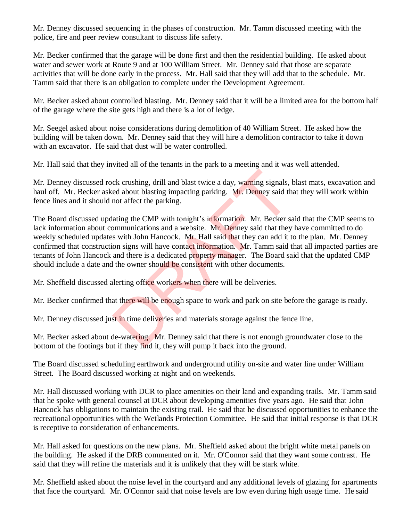Mr. Denney discussed sequencing in the phases of construction. Mr. Tamm discussed meeting with the police, fire and peer review consultant to discuss life safety.

Mr. Becker confirmed that the garage will be done first and then the residential building. He asked about water and sewer work at Route 9 and at 100 William Street. Mr. Denney said that those are separate activities that will be done early in the process. Mr. Hall said that they will add that to the schedule. Mr. Tamm said that there is an obligation to complete under the Development Agreement.

Mr. Becker asked about controlled blasting. Mr. Denney said that it will be a limited area for the bottom half of the garage where the site gets high and there is a lot of ledge.

Mr. Seegel asked about noise considerations during demolition of 40 William Street. He asked how the building will be taken down. Mr. Denney said that they will hire a demolition contractor to take it down with an excavator. He said that dust will be water controlled.

Mr. Hall said that they invited all of the tenants in the park to a meeting and it was well attended.

Mr. Denney discussed rock crushing, drill and blast twice a day, warning signals, blast mats, excavation and haul off. Mr. Becker asked about blasting impacting parking. Mr. Denney said that they will work within fence lines and it should not affect the parking.

The Board discussed updating the CMP with tonight's information. Mr. Becker said that the CMP seems to lack information about communications and a website. Mr. Denney said that they have committed to do weekly scheduled updates with John Hancock. Mr. Hall said that they can add it to the plan. Mr. Denney confirmed that construction signs will have contact information. Mr. Tamm said that all impacted parties are tenants of John Hancock and there is a dedicated property manager. The Board said that the updated CMP should include a date and the owner should be consistent with other documents. ck crushing, drill and blast twice a day, warning signals,<br>ed about blasting impacting parking. Mr. Denney said th<br>not affect the parking.<br>ating the CMP with tonight's information. Mr. Becker s<br>pommunications and a website

Mr. Sheffield discussed alerting office workers when there will be deliveries.

Mr. Becker confirmed that there will be enough space to work and park on site before the garage is ready.

Mr. Denney discussed just in time deliveries and materials storage against the fence line.

Mr. Becker asked about de-watering. Mr. Denney said that there is not enough groundwater close to the bottom of the footings but if they find it, they will pump it back into the ground.

The Board discussed scheduling earthwork and underground utility on-site and water line under William Street. The Board discussed working at night and on weekends.

Mr. Hall discussed working with DCR to place amenities on their land and expanding trails. Mr. Tamm said that he spoke with general counsel at DCR about developing amenities five years ago. He said that John Hancock has obligations to maintain the existing trail. He said that he discussed opportunities to enhance the recreational opportunities with the Wetlands Protection Committee. He said that initial response is that DCR is receptive to consideration of enhancements.

Mr. Hall asked for questions on the new plans. Mr. Sheffield asked about the bright white metal panels on the building. He asked if the DRB commented on it. Mr. O'Connor said that they want some contrast. He said that they will refine the materials and it is unlikely that they will be stark white.

Mr. Sheffield asked about the noise level in the courtyard and any additional levels of glazing for apartments that face the courtyard. Mr. O'Connor said that noise levels are low even during high usage time. He said